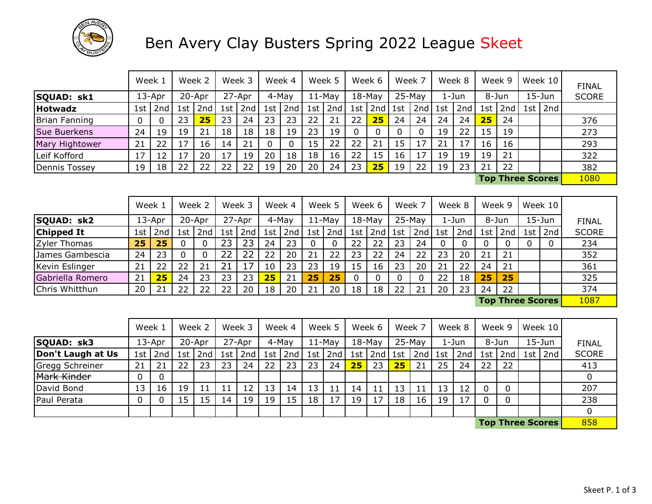

## Ben Avery Clay Busters Spring 2022 League Skeet

|                     | Week 1 |           |     | Week 2 |      | Week 3 |     | Week 4 |       | Week 5   |     | Week 6    |     | Week 7   |     | Week 8 |     | Week 9 |     | Week 10                 | <b>FINAL</b> |
|---------------------|--------|-----------|-----|--------|------|--------|-----|--------|-------|----------|-----|-----------|-----|----------|-----|--------|-----|--------|-----|-------------------------|--------------|
| SQUAD: sk1          |        | $13$ -Apr |     | 20-Apr |      | 27-Apr |     | 4-May  |       | $11-May$ |     | $18$ -May |     | $25-May$ |     | 1-Jun  |     | 8-Jun  |     | $15 - Jun$              | <b>SCORE</b> |
| <b>Hotwadz</b>      | 1st    | 2nd       | 1st | 2nd    | 1st' | 2nd    | 1st | 2nd    | 1st l | 2nd      | 1st | 2nd       | 1st | 2nd      | 1st | 2nd    | 1st | 2nd    | 1st | $\vert$ 2nd             |              |
| Brian Fanning       |        | 0         | 23  | 25     | 23   | 24     | 23  | 23     | 22    | 21       | 22  | 25        | 24  | 24       | 24  | 24     | 25  | 24     |     |                         | 376          |
| <b>Sue Buerkens</b> | 24     | 19        | 19  | 21     | 18   | 18     | 18  | 19     | 23    | 19       |     |           |     |          | 19  | 22     | 15  | 19     |     |                         | 273          |
| Mary Hightower      | 21     | 22        |     | 16     | 14   | 21     | 0   |        | 15    | 22       | 22  | 21        | 15  |          | 21  | 17     | 16  | 16     |     |                         | 293          |
| Leif Kofford        | 17     | 12        | 7ء  | 20     |      | 19     | 20  | 18     | 18    | 16       | 22  | 15        | 16  |          | 19  | 19     | 19  | 21     |     |                         | 322          |
| Dennis Tossey       | 19     | 18        | 22  | 22     | 22   | 22     | 19  | 20     | 20    | 24       | 23  | 25        | 19  | 22       | 19  | 23     | 21  | 22     |     |                         | 382          |
|                     |        |           |     |        |      |        |     |        |       |          |     |           |     |          |     |        |     |        |     | <b>Top Three Scores</b> | 1080         |

|                  | Week 1 |        |     | Week 2 |     | Week 3 |     | Week 4 |    | Week 5        |     | Week 6    |    | Week 7   |     | Week 8 |     | Week 9                  |     | Week $10$  |              |
|------------------|--------|--------|-----|--------|-----|--------|-----|--------|----|---------------|-----|-----------|----|----------|-----|--------|-----|-------------------------|-----|------------|--------------|
| SQUAD: sk2       |        | 13-Apr |     | 20-Apr |     | 27-Apr |     | 4-May  |    | $11-Mav$      |     | $18$ -May |    | $25-May$ |     | 1-Jun  |     | 8-Jun                   |     | $15 - Jun$ | <b>FINAL</b> |
| Chipped It       | 1st    | 2nd    | ⊥st | 2nd    | 1st | 2nd    | 1st | 2nd    |    | 1st   2nd $ $ | 1st | 2nd   1st |    | 2nd      | 1st | 2nd    | 1st | 2nd                     | 1st | 2nd        | <b>SCORE</b> |
| Zyler Thomas     | 25     | 25     |     |        |     | 23     | 24  | 23     |    |               | 22  | 22        | 23 | 24       |     |        |     |                         |     | 0          | 234          |
| James Gambescia  | 24     | 23     |     |        |     |        | 22  | 20     | 21 | 22            | 23  | 22        | 24 | 22       | 23  | 20     | 21  | 21                      |     |            | 352          |
| Kevin Eslinger   | 21     | 22     | 22  |        | 21  |        | 10  | 23     | 23 | 19            | 15  | 16        | 23 | 20       | 21  | 22     | 24  | 21                      |     |            | 361          |
| Gabriella Romero | 21     | 25     | 24  | 23     | 23  | 23     | 25  | 21     | 25 | 25            |     | 0         |    |          | 22  | 18     | 25  | 25                      |     |            | 325          |
| Chris Whitthun   | 20     | 21     | 22  | 22     | 22  | 20     | 18  | 20     | 21 | 20            | 18  | 18        | 22 | 21       | 20  | 23     | 24  | 22                      |     |            | 374          |
|                  |        |        |     |        |     |        |     |        |    |               |     |           |    |          |     |        |     | <b>Top Three Scores</b> |     |            | 1087         |

|                   | Week 1 |             |     | Week 2 |      | Week 3 |     | Week 4 |       | Week 5   |     | Week 6    |           | Week 7   |     | Week 8 |     | Week 9 |                                                                                                                                                                                                                                      | Week $10$  |              |
|-------------------|--------|-------------|-----|--------|------|--------|-----|--------|-------|----------|-----|-----------|-----------|----------|-----|--------|-----|--------|--------------------------------------------------------------------------------------------------------------------------------------------------------------------------------------------------------------------------------------|------------|--------------|
| SQUAD: sk3        |        | 13-Apr      |     | 20-Apr |      | 27-Apr |     | 4-May  |       | $11-Mav$ |     | $18-May$  |           | $25-May$ |     | 1-Jun  |     | 8-Jun  |                                                                                                                                                                                                                                      | $15 - Jun$ | <b>FINAL</b> |
| Don't Laugh at Us |        | 1st $ $ 2nd | 1st | 2nd    | 1st' | 2nd    | 1st | 2nd    | 1st l | 2nd      | 1st | $2nd$ 1st |           | 2nd      | 1st | 2nd    | 1st | 2nd    |                                                                                                                                                                                                                                      | 1st $2nd$  | <b>SCORE</b> |
| Gregg Schreiner   | 21     | 21          | 22  | 23     | 23   | 24     | 22  | 23     | 23    | 24       | 25  | 23        | <b>25</b> | 21       | 25  | 24     | 22  | 22     |                                                                                                                                                                                                                                      |            | 413          |
| Mark Kinder       |        | 0           |     |        |      |        |     |        |       |          |     |           |           |          |     |        |     |        |                                                                                                                                                                                                                                      |            |              |
| David Bond        | 13     | 16          | 19  |        |      | 12     | 13  | 14     | 13    | 11       | 14  | 11        | 13        |          | 13  | 12     | 0   |        |                                                                                                                                                                                                                                      |            | 207          |
| Paul Perata       |        |             | 15  | 15     | 14   | 19     | 19  | 15     | 18    | 17       | 19  | 17        | 18        | 16       | 19  | 17     |     |        |                                                                                                                                                                                                                                      |            | 238          |
|                   |        |             |     |        |      |        |     |        |       |          |     |           |           |          |     |        |     |        |                                                                                                                                                                                                                                      |            |              |
|                   |        |             |     |        |      |        |     |        |       |          |     |           |           |          |     |        |     |        | <b>The control of the control of the control of the control of the control of the control of the control of the control of the control of the control of the control of the control of the control of the control of the control</b> |            | $\sqrt{2}$   |

858 **Top Three Scores**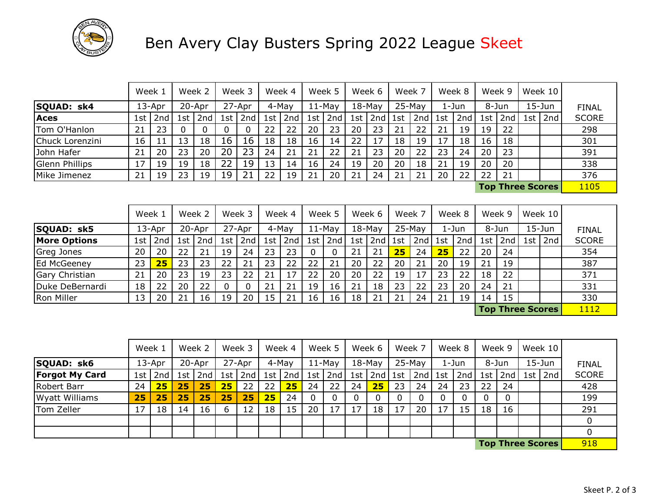

## Ben Avery Clay Busters Spring 2022 League Skeet

|                     | Week 1 |        |     | Week 2 |     | Week 3   |     | Week 4        |     | Week 5   |     | Week 6    |     | Week 7   |     | Week 8 |     | Week 9                  |             | Week 10    |              |
|---------------------|--------|--------|-----|--------|-----|----------|-----|---------------|-----|----------|-----|-----------|-----|----------|-----|--------|-----|-------------------------|-------------|------------|--------------|
| SQUAD: sk4          |        | 13-Apr |     | 20-Apr |     | 27-Apr   |     | 4-May         |     | $11-May$ |     | $18$ -May |     | 25-May   |     | 1-Jun  |     | 8-Jun                   |             | $15 - Jun$ | <b>FINAL</b> |
| <b>Aces</b>         | 1st    | 2nd    | 1st | 2nd    | 1st | 2nd      | 1st | 2nd           | 1st | 2nd      | 1st | 2nd       | 1st | 2nd      | 1st | 2nd    | 1st | 2nd                     | 1st $\vert$ | 2nd        | <b>SCORE</b> |
| Tom O'Hanlon        | 21     | 23     | 0   | 0      | 0   | 0        | 22  | 22            | 20  | 23       | 20  | 23        | 21  | 22       | 21  | 19     | 19  | 22                      |             |            | 298          |
| Chuck Lorenzini     | 16     | 11     | 13  | 18     | 16  | 16       | 18  | 18            | 16  | 14       | 22  | 17        | 18  | 19       | 17  | 18     | 16  | 18                      |             |            | 301          |
| John Hafer          | 21     | 20     | 23  | 20     | 20  | 23       | 24  | 21            | 21  | 22       | 21  | 23        | 20  | 22       | 23  | 24     | 20  | 23                      |             |            | 391          |
| Glenn Phillips      | 17     | 19     | 19  | 18     | 22  | 19       | 13  | 14            | 16  | 24       | 19  | 20        | 20  | 18       | 21  | 19     | 20  | 20                      |             |            | 338          |
| Mike Jimenez        | 21     | 19     | 23  | 19     | 19  | 21       | 22  | 19            | 21  | 20       | 21  | 24        | 21  | 21       | 20  | 22     | 22  | 21                      |             |            | 376          |
|                     |        |        |     |        |     |          |     |               |     |          |     |           |     |          |     |        |     | <b>Top Three Scores</b> |             |            | 1105         |
|                     |        |        |     |        |     |          |     |               |     |          |     |           |     |          |     |        |     |                         |             |            |              |
|                     | Week 1 |        |     | Week 2 |     | Week 3   |     | Week 4        |     | Week 5   |     | Week 6    |     | Week 7   |     | Week 8 |     | Week 9                  |             | Week 10    |              |
| SQUAD: sk5          |        | 13-Apr |     | 20-Apr |     | 27-Apr   |     | 4-May         |     | $11-May$ |     | $18-May$  |     | $25-May$ |     | 1-Jun  |     | 8-Jun                   |             | $15 - Jun$ | <b>FINAL</b> |
| <b>More Options</b> | 1st    | 2nd    | 1st | 2nd    | 1st | 2nd      |     | 1st   2nd $ $ | 1st | 2nd      | 1st | 2nd       | 1st | 2nd      | 1st | 2nd    | 1st | 2nd                     | 1st $\vert$ | 2nd        | <b>SCORE</b> |
| Greg Jones          | 20     | 20     | 22  | 21     | 19  | 24       | 23  | 23            | 0   | 0        | 21  | 21        | 25  | 24       | 25  | 22     | 20  | 24                      |             |            | 354          |
| Ed McGeeney         | 23     | 25     | 23  | 23     | 22  | 21       | 23  | 22            | 22  | 21       | 20  | 22        | 20  | 21       | 20  | 19     | 21  | 19                      |             |            | 387          |
| Gary Christian      | 21     | 20     | 23  | 19     | 23  | 22       | 21  | 17            | 22  | 20       | 20  | 22        | 19  | 17       | 23  | 22     | 18  | 22                      |             |            | 371          |
| Duke DeBernardi     | 18     | 22     | 20  | 22     | 0   | $\Omega$ | 21  | 21            | 19  | 16       | 21  | 18        | 23  | 22       | 23  | 20     | 24  | 21                      |             |            | 331          |
| Ron Miller          | 13     | 20     | 21  | 16     | 19  | 20       | 15  | 21            | 16  | 16       | 18  | 21        | 21  | 24       | 21  | 19     | 14  | 15                      |             |            | 330          |
|                     |        |        |     |        |     |          |     |               |     |          |     |           |     |          |     |        |     | <b>Top Three Scores</b> |             |            | 1112         |
|                     |        |        |     |        |     |          |     |               |     |          |     |           |     |          |     |        |     |                         |             |            |              |

|                       | Week 1 |           |                 | Week 2    |    | Week 3      |     | Week 4 |    | Week 5    |    | Week 6          |    | Week 7    |    | Week 8 |       | Week 9 |                                                                                                                                                                                                                               | Week $10$     |              |
|-----------------------|--------|-----------|-----------------|-----------|----|-------------|-----|--------|----|-----------|----|-----------------|----|-----------|----|--------|-------|--------|-------------------------------------------------------------------------------------------------------------------------------------------------------------------------------------------------------------------------------|---------------|--------------|
| SQUAD: sk6            |        | 13-Apr    |                 | 20-Apr    |    | 27-Apr      |     | 4-May  |    | $11-May$  |    | $18 - May$      |    | $25-May$  |    | 1-Jun  | 8-Jun |        |                                                                                                                                                                                                                               | $15 - Jun$    | <b>FINAL</b> |
| <b>Forgot My Card</b> |        | 1st $2nd$ |                 | $1st$ 2nd |    | $1st$   2nd | 1st | 2nd    |    | 1st $2nd$ |    | 1st   2nd   1st |    | $2nd$ 1st |    | 2nd    | 1st   | 2nd    |                                                                                                                                                                                                                               | 1st   2nd $ $ | <b>SCORE</b> |
| Robert Barr           | 24     | 25        | 25              | 25        | 25 | 22          | 22  | 25     | 24 | 22        | 24 | 25 <sub>2</sub> | 23 | 24        | 24 | 23     | 22    | 24     |                                                                                                                                                                                                                               |               | 428          |
| <b>Wyatt Williams</b> | 25     | 25        | 25              | 25        | 25 | 25          | 25  | 24     |    |           |    | 0               |    |           |    |        |       |        |                                                                                                                                                                                                                               |               | 199          |
| Tom Zeller            | 17     | 18        | $\overline{14}$ | 16        | b  | 12          | 18  | 15     | 20 | 17        | 17 | 18              |    | 20        | 17 | 15     | 18    | 16     |                                                                                                                                                                                                                               |               | 291          |
|                       |        |           |                 |           |    |             |     |        |    |           |    |                 |    |           |    |        |       |        |                                                                                                                                                                                                                               |               |              |
|                       |        |           |                 |           |    |             |     |        |    |           |    |                 |    |           |    |        |       |        |                                                                                                                                                                                                                               |               |              |
|                       |        |           |                 |           |    |             |     |        |    |           |    |                 |    |           |    |        |       |        | the control of the control of the control of the control of the control of the control of the control of the control of the control of the control of the control of the control of the control of the control of the control |               | 0.10         |

918 **Top Three Scores**